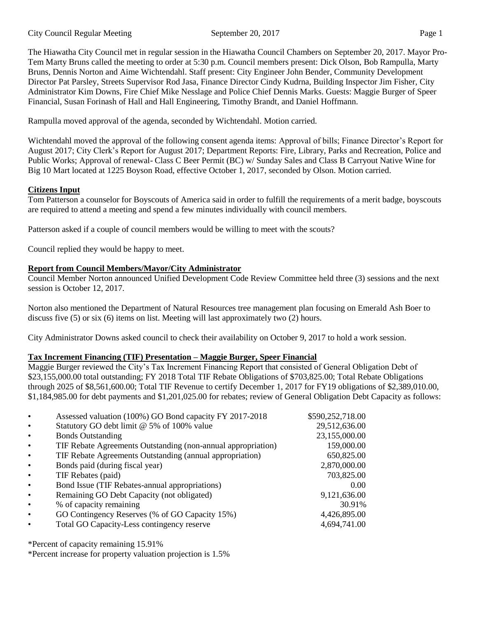The Hiawatha City Council met in regular session in the Hiawatha Council Chambers on September 20, 2017. Mayor Pro-Tem Marty Bruns called the meeting to order at 5:30 p.m. Council members present: Dick Olson, Bob Rampulla, Marty Bruns, Dennis Norton and Aime Wichtendahl. Staff present: City Engineer John Bender, Community Development Director Pat Parsley, Streets Supervisor Rod Jasa, Finance Director Cindy Kudrna, Building Inspector Jim Fisher, City Administrator Kim Downs, Fire Chief Mike Nesslage and Police Chief Dennis Marks. Guests: Maggie Burger of Speer Financial, Susan Forinash of Hall and Hall Engineering, Timothy Brandt, and Daniel Hoffmann.

Rampulla moved approval of the agenda, seconded by Wichtendahl. Motion carried.

Wichtendahl moved the approval of the following consent agenda items: Approval of bills; Finance Director's Report for August 2017; City Clerk's Report for August 2017; Department Reports: Fire, Library, Parks and Recreation, Police and Public Works; Approval of renewal- Class C Beer Permit (BC) w/ Sunday Sales and Class B Carryout Native Wine for Big 10 Mart located at 1225 Boyson Road, effective October 1, 2017, seconded by Olson. Motion carried.

# **Citizens Input**

Tom Patterson a counselor for Boyscouts of America said in order to fulfill the requirements of a merit badge, boyscouts are required to attend a meeting and spend a few minutes individually with council members.

Patterson asked if a couple of council members would be willing to meet with the scouts?

Council replied they would be happy to meet.

# **Report from Council Members/Mayor/City Administrator**

Council Member Norton announced Unified Development Code Review Committee held three (3) sessions and the next session is October 12, 2017.

Norton also mentioned the Department of Natural Resources tree management plan focusing on Emerald Ash Boer to discuss five (5) or six (6) items on list. Meeting will last approximately two (2) hours.

City Administrator Downs asked council to check their availability on October 9, 2017 to hold a work session.

# **Tax Increment Financing (TIF) Presentation – Maggie Burger, Speer Financial**

Maggie Burger reviewed the City's Tax Increment Financing Report that consisted of General Obligation Debt of \$23,155,000.00 total outstanding; FY 2018 Total TIF Rebate Obligations of \$703,825.00; Total Rebate Obligations through 2025 of \$8,561,600.00; Total TIF Revenue to certify December 1, 2017 for FY19 obligations of \$2,389,010.00, \$1,184,985.00 for debt payments and \$1,201,025.00 for rebates; review of General Obligation Debt Capacity as follows:

|                                                              | \$590,252,718.00                                        |
|--------------------------------------------------------------|---------------------------------------------------------|
| Statutory GO debt limit @ 5% of 100% value                   | 29,512,636.00                                           |
| <b>Bonds Outstanding</b>                                     | 23,155,000.00                                           |
| TIF Rebate Agreements Outstanding (non-annual appropriation) | 159,000.00                                              |
| TIF Rebate Agreements Outstanding (annual appropriation)     | 650,825.00                                              |
| Bonds paid (during fiscal year)                              | 2,870,000.00                                            |
| TIF Rebates (paid)                                           | 703,825.00                                              |
| Bond Issue (TIF Rebates-annual appropriations)               | 0.00                                                    |
| Remaining GO Debt Capacity (not obligated)                   | 9,121,636.00                                            |
| % of capacity remaining                                      | 30.91%                                                  |
| GO Contingency Reserves (% of GO Capacity 15%)               | 4,426,895.00                                            |
| Total GO Capacity-Less contingency reserve                   | 4,694,741.00                                            |
|                                                              | Assessed valuation (100%) GO Bond capacity FY 2017-2018 |

\*Percent of capacity remaining 15.91%

\*Percent increase for property valuation projection is 1.5%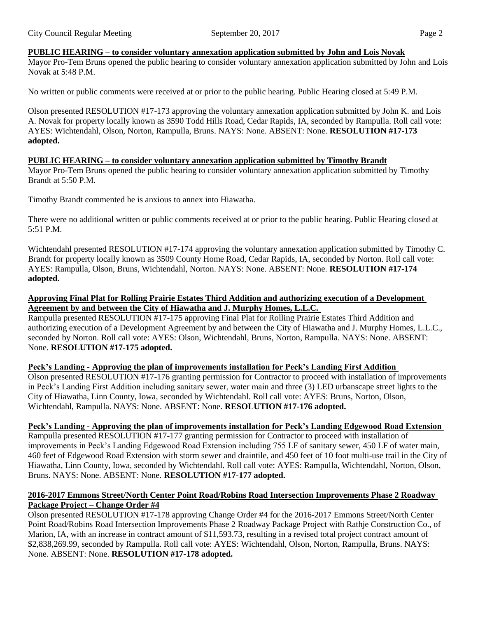## **PUBLIC HEARING – to consider voluntary annexation application submitted by John and Lois Novak**

Mayor Pro-Tem Bruns opened the public hearing to consider voluntary annexation application submitted by John and Lois Novak at 5:48 P.M.

No written or public comments were received at or prior to the public hearing. Public Hearing closed at 5:49 P.M.

Olson presented RESOLUTION #17-173 approving the voluntary annexation application submitted by John K. and Lois A. Novak for property locally known as 3590 Todd Hills Road, Cedar Rapids, IA, seconded by Rampulla. Roll call vote: AYES: Wichtendahl, Olson, Norton, Rampulla, Bruns. NAYS: None. ABSENT: None. **RESOLUTION #17-173 adopted.** 

#### **PUBLIC HEARING – to consider voluntary annexation application submitted by Timothy Brandt**

Mayor Pro-Tem Bruns opened the public hearing to consider voluntary annexation application submitted by Timothy Brandt at 5:50 P.M.

Timothy Brandt commented he is anxious to annex into Hiawatha.

There were no additional written or public comments received at or prior to the public hearing. Public Hearing closed at  $5:51$  PM

Wichtendahl presented RESOLUTION #17-174 approving the voluntary annexation application submitted by Timothy C. Brandt for property locally known as 3509 County Home Road, Cedar Rapids, IA, seconded by Norton. Roll call vote: AYES: Rampulla, Olson, Bruns, Wichtendahl, Norton. NAYS: None. ABSENT: None. **RESOLUTION #17-174 adopted.** 

## **Approving Final Plat for Rolling Prairie Estates Third Addition and authorizing execution of a Development Agreement by and between the City of Hiawatha and J. Murphy Homes, L.L.C.**

Rampulla presented RESOLUTION #17-175 approving Final Plat for Rolling Prairie Estates Third Addition and authorizing execution of a Development Agreement by and between the City of Hiawatha and J. Murphy Homes, L.L.C., seconded by Norton. Roll call vote: AYES: Olson, Wichtendahl, Bruns, Norton, Rampulla. NAYS: None. ABSENT: None. **RESOLUTION #17-175 adopted.** 

## **Peck's Landing - Approving the plan of improvements installation for Peck's Landing First Addition**

Olson presented RESOLUTION #17-176 granting permission for Contractor to proceed with installation of improvements in Peck's Landing First Addition including sanitary sewer, water main and three (3) LED urbanscape street lights to the City of Hiawatha, Linn County, Iowa, seconded by Wichtendahl. Roll call vote: AYES: Bruns, Norton, Olson, Wichtendahl, Rampulla. NAYS: None. ABSENT: None. **RESOLUTION #17-176 adopted.** 

## **Peck's Landing - Approving the plan of improvements installation for Peck's Landing Edgewood Road Extension**

Rampulla presented RESOLUTION #17-177 granting permission for Contractor to proceed with installation of improvements in Peck's Landing Edgewood Road Extension including 755 LF of sanitary sewer, 450 LF of water main, 460 feet of Edgewood Road Extension with storm sewer and draintile, and 450 feet of 10 foot multi-use trail in the City of Hiawatha, Linn County, Iowa, seconded by Wichtendahl. Roll call vote: AYES: Rampulla, Wichtendahl, Norton, Olson, Bruns. NAYS: None. ABSENT: None. **RESOLUTION #17-177 adopted.** 

## **2016-2017 Emmons Street/North Center Point Road/Robins Road Intersection Improvements Phase 2 Roadway Package Project – Change Order #4**

Olson presented RESOLUTION #17-178 approving Change Order #4 for the 2016-2017 Emmons Street/North Center Point Road/Robins Road Intersection Improvements Phase 2 Roadway Package Project with Rathje Construction Co., of Marion, IA, with an increase in contract amount of \$11,593.73, resulting in a revised total project contract amount of \$2,838,269.99, seconded by Rampulla. Roll call vote: AYES: Wichtendahl, Olson, Norton, Rampulla, Bruns. NAYS: None. ABSENT: None. **RESOLUTION #17-178 adopted.**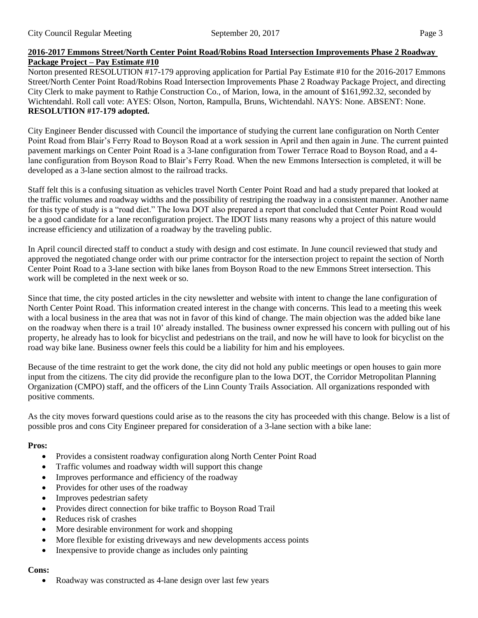## **2016-2017 Emmons Street/North Center Point Road/Robins Road Intersection Improvements Phase 2 Roadway Package Project – Pay Estimate #10**

Norton presented RESOLUTION #17-179 approving application for Partial Pay Estimate #10 for the 2016-2017 Emmons Street/North Center Point Road/Robins Road Intersection Improvements Phase 2 Roadway Package Project, and directing City Clerk to make payment to Rathje Construction Co., of Marion, Iowa, in the amount of \$161,992.32, seconded by Wichtendahl. Roll call vote: AYES: Olson, Norton, Rampulla, Bruns, Wichtendahl. NAYS: None. ABSENT: None. **RESOLUTION #17-179 adopted.** 

City Engineer Bender discussed with Council the importance of studying the current lane configuration on North Center Point Road from Blair's Ferry Road to Boyson Road at a work session in April and then again in June. The current painted pavement markings on Center Point Road is a 3-lane configuration from Tower Terrace Road to Boyson Road, and a 4 lane configuration from Boyson Road to Blair's Ferry Road. When the new Emmons Intersection is completed, it will be developed as a 3-lane section almost to the railroad tracks.

Staff felt this is a confusing situation as vehicles travel North Center Point Road and had a study prepared that looked at the traffic volumes and roadway widths and the possibility of restriping the roadway in a consistent manner. Another name for this type of study is a "road diet." The Iowa DOT also prepared a report that concluded that Center Point Road would be a good candidate for a lane reconfiguration project. The IDOT lists many reasons why a project of this nature would increase efficiency and utilization of a roadway by the traveling public.

In April council directed staff to conduct a study with design and cost estimate. In June council reviewed that study and approved the negotiated change order with our prime contractor for the intersection project to repaint the section of North Center Point Road to a 3-lane section with bike lanes from Boyson Road to the new Emmons Street intersection. This work will be completed in the next week or so.

Since that time, the city posted articles in the city newsletter and website with intent to change the lane configuration of North Center Point Road. This information created interest in the change with concerns. This lead to a meeting this week with a local business in the area that was not in favor of this kind of change. The main objection was the added bike lane on the roadway when there is a trail 10' already installed. The business owner expressed his concern with pulling out of his property, he already has to look for bicyclist and pedestrians on the trail, and now he will have to look for bicyclist on the road way bike lane. Business owner feels this could be a liability for him and his employees.

Because of the time restraint to get the work done, the city did not hold any public meetings or open houses to gain more input from the citizens. The city did provide the reconfigure plan to the Iowa DOT, the Corridor Metropolitan Planning Organization (CMPO) staff, and the officers of the Linn County Trails Association. All organizations responded with positive comments.

As the city moves forward questions could arise as to the reasons the city has proceeded with this change. Below is a list of possible pros and cons City Engineer prepared for consideration of a 3-lane section with a bike lane:

# **Pros:**

- Provides a consistent roadway configuration along North Center Point Road
- Traffic volumes and roadway width will support this change
- Improves performance and efficiency of the roadway
- Provides for other uses of the roadway
- Improves pedestrian safety
- Provides direct connection for bike traffic to Boyson Road Trail
- Reduces risk of crashes
- More desirable environment for work and shopping
- More flexible for existing driveways and new developments access points
- Inexpensive to provide change as includes only painting

## **Cons:**

• Roadway was constructed as 4-lane design over last few years